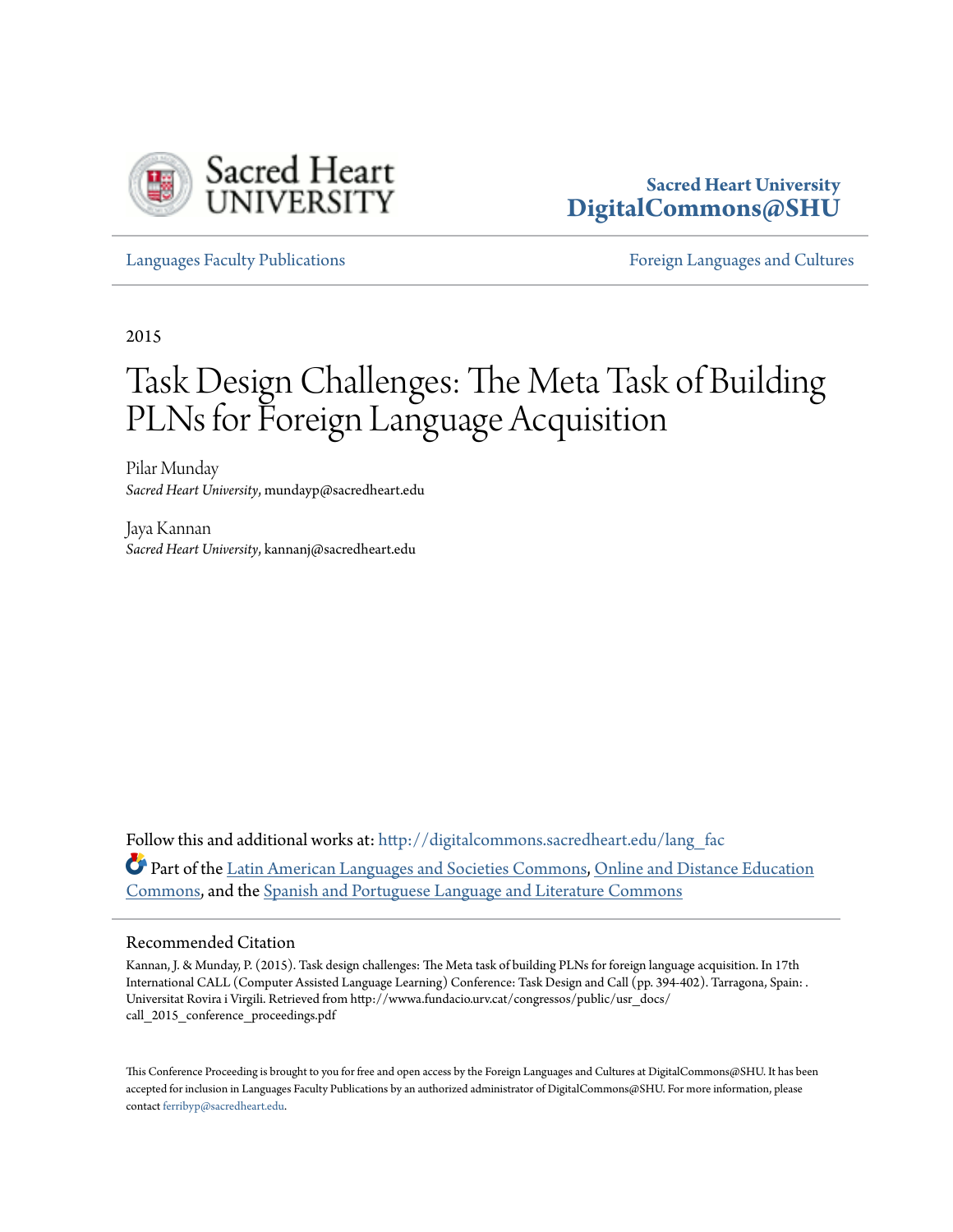

# **Sacred Heart University [DigitalCommons@SHU](http://digitalcommons.sacredheart.edu?utm_source=digitalcommons.sacredheart.edu%2Flang_fac%2F41&utm_medium=PDF&utm_campaign=PDFCoverPages)**

[Languages Faculty Publications](http://digitalcommons.sacredheart.edu/lang_fac?utm_source=digitalcommons.sacredheart.edu%2Flang_fac%2F41&utm_medium=PDF&utm_campaign=PDFCoverPages) [Foreign Languages and Cultures](http://digitalcommons.sacredheart.edu/lang?utm_source=digitalcommons.sacredheart.edu%2Flang_fac%2F41&utm_medium=PDF&utm_campaign=PDFCoverPages)

2015

# Task Design Challenges: The Meta Task of Building PLNs for Foreign Language Acquisition

Pilar Munday *Sacred Heart University*, mundayp@sacredheart.edu

Jaya Kannan *Sacred Heart University*, kannanj@sacredheart.edu

Follow this and additional works at: [http://digitalcommons.sacredheart.edu/lang\\_fac](http://digitalcommons.sacredheart.edu/lang_fac?utm_source=digitalcommons.sacredheart.edu%2Flang_fac%2F41&utm_medium=PDF&utm_campaign=PDFCoverPages) Part of the [Latin American Languages and Societies Commons](http://network.bepress.com/hgg/discipline/483?utm_source=digitalcommons.sacredheart.edu%2Flang_fac%2F41&utm_medium=PDF&utm_campaign=PDFCoverPages), [Online and Distance Education](http://network.bepress.com/hgg/discipline/1296?utm_source=digitalcommons.sacredheart.edu%2Flang_fac%2F41&utm_medium=PDF&utm_campaign=PDFCoverPages) [Commons,](http://network.bepress.com/hgg/discipline/1296?utm_source=digitalcommons.sacredheart.edu%2Flang_fac%2F41&utm_medium=PDF&utm_campaign=PDFCoverPages) and the [Spanish and Portuguese Language and Literature Commons](http://network.bepress.com/hgg/discipline/546?utm_source=digitalcommons.sacredheart.edu%2Flang_fac%2F41&utm_medium=PDF&utm_campaign=PDFCoverPages)

#### Recommended Citation

Kannan, J. & Munday, P. (2015). Task design challenges: The Meta task of building PLNs for foreign language acquisition. In 17th International CALL (Computer Assisted Language Learning) Conference: Task Design and Call (pp. 394-402). Tarragona, Spain: . Universitat Rovira i Virgili. Retrieved from http://wwwa.fundacio.urv.cat/congressos/public/usr\_docs/ call\_2015\_conference\_proceedings.pdf

This Conference Proceeding is brought to you for free and open access by the Foreign Languages and Cultures at DigitalCommons@SHU. It has been accepted for inclusion in Languages Faculty Publications by an authorized administrator of DigitalCommons@SHU. For more information, please contact [ferribyp@sacredheart.edu.](mailto:ferribyp@sacredheart.edu)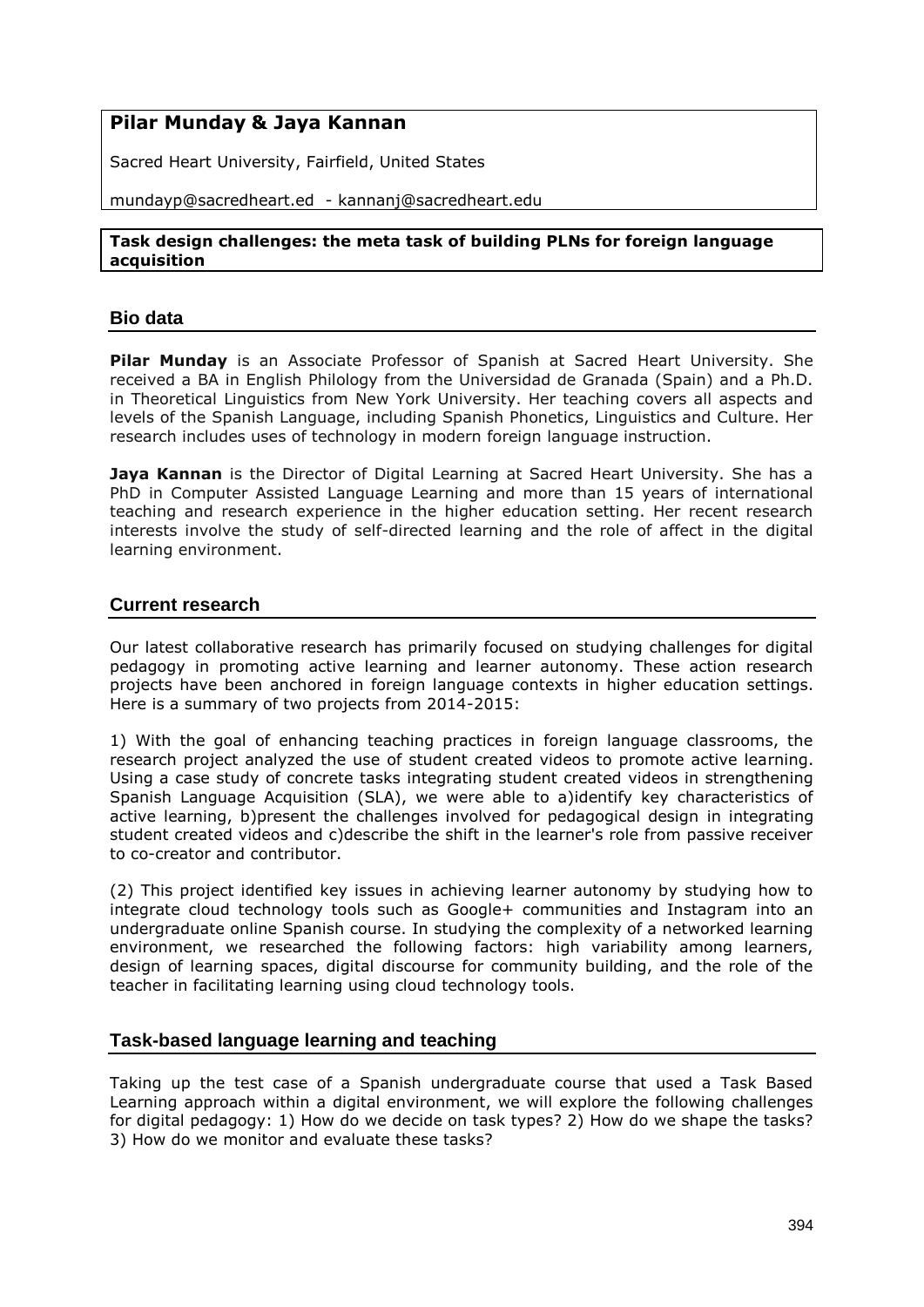# **Pilar Munday & Jaya Kannan**

Sacred Heart University, Fairfield, United States

mundayp@sacredheart.ed - kannanj@sacredheart.edu

#### **Task design challenges: the meta task of building PLNs for foreign language acquisition**

# **Bio data**

**Pilar Munday** is an Associate Professor of Spanish at Sacred Heart University. She received a BA in English Philology from the Universidad de Granada (Spain) and a Ph.D. in Theoretical Linguistics from New York University. Her teaching covers all aspects and levels of the Spanish Language, including Spanish Phonetics, Linguistics and Culture. Her research includes uses of technology in modern foreign language instruction.

**Jaya Kannan** is the Director of Digital Learning at Sacred Heart University. She has a PhD in Computer Assisted Language Learning and more than 15 years of international teaching and research experience in the higher education setting. Her recent research interests involve the study of self-directed learning and the role of affect in the digital learning environment.

# **Current research**

Our latest collaborative research has primarily focused on studying challenges for digital pedagogy in promoting active learning and learner autonomy. These action research projects have been anchored in foreign language contexts in higher education settings. Here is a summary of two projects from 2014-2015:

1) With the goal of enhancing teaching practices in foreign language classrooms, the research project analyzed the use of student created videos to promote active learning. Using a case study of concrete tasks integrating student created videos in strengthening Spanish Language Acquisition (SLA), we were able to a)identify key characteristics of active learning, b)present the challenges involved for pedagogical design in integrating student created videos and c)describe the shift in the learner's role from passive receiver to co-creator and contributor.

(2) This project identified key issues in achieving learner autonomy by studying how to integrate cloud technology tools such as Google+ communities and Instagram into an undergraduate online Spanish course. In studying the complexity of a networked learning environment, we researched the following factors: high variability among learners, design of learning spaces, digital discourse for community building, and the role of the teacher in facilitating learning using cloud technology tools.

### **Task-based language learning and teaching**

Taking up the test case of a Spanish undergraduate course that used a Task Based Learning approach within a digital environment, we will explore the following challenges for digital pedagogy: 1) How do we decide on task types? 2) How do we shape the tasks? 3) How do we monitor and evaluate these tasks?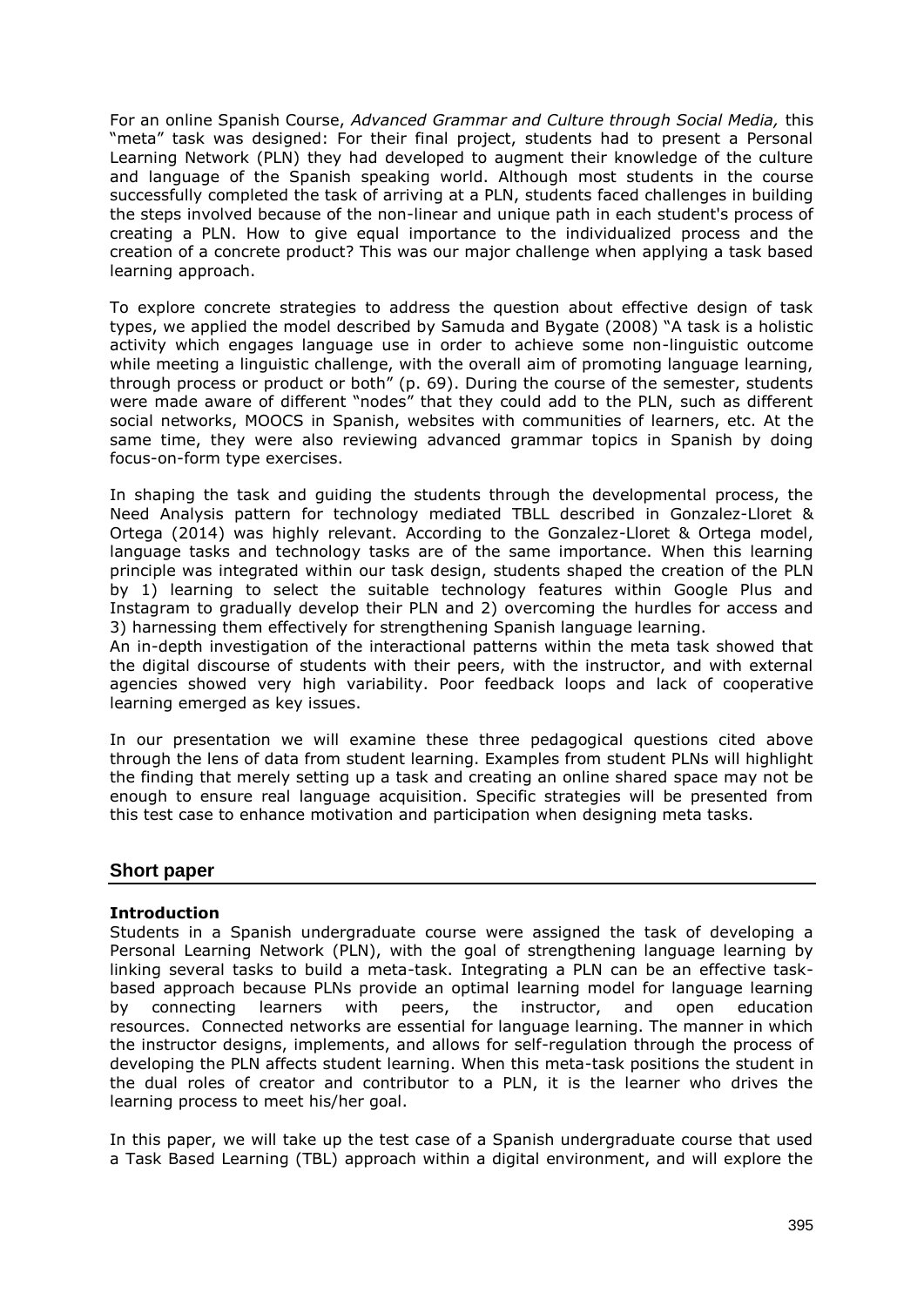For an online Spanish Course, *Advanced Grammar and Culture through Social Media,* this "meta" task was designed: For their final project, students had to present a Personal Learning Network (PLN) they had developed to augment their knowledge of the culture and language of the Spanish speaking world. Although most students in the course successfully completed the task of arriving at a PLN, students faced challenges in building the steps involved because of the non-linear and unique path in each student's process of creating a PLN. How to give equal importance to the individualized process and the creation of a concrete product? This was our major challenge when applying a task based learning approach.

To explore concrete strategies to address the question about effective design of task types, we applied the model described by Samuda and Bygate (2008) "A task is a holistic activity which engages language use in order to achieve some non-linguistic outcome while meeting a linguistic challenge, with the overall aim of promoting language learning, through process or product or both" (p. 69). During the course of the semester, students were made aware of different "nodes" that they could add to the PLN, such as different social networks, MOOCS in Spanish, websites with communities of learners, etc. At the same time, they were also reviewing advanced grammar topics in Spanish by doing focus-on-form type exercises.

In shaping the task and guiding the students through the developmental process, the Need Analysis pattern for technology mediated TBLL described in Gonzalez-Lloret & Ortega (2014) was highly relevant. According to the Gonzalez-Lloret & Ortega model, language tasks and technology tasks are of the same importance. When this learning principle was integrated within our task design, students shaped the creation of the PLN by 1) learning to select the suitable technology features within Google Plus and Instagram to gradually develop their PLN and 2) overcoming the hurdles for access and 3) harnessing them effectively for strengthening Spanish language learning.

An in-depth investigation of the interactional patterns within the meta task showed that the digital discourse of students with their peers, with the instructor, and with external agencies showed very high variability. Poor feedback loops and lack of cooperative learning emerged as key issues.

In our presentation we will examine these three pedagogical questions cited above through the lens of data from student learning. Examples from student PLNs will highlight the finding that merely setting up a task and creating an online shared space may not be enough to ensure real language acquisition. Specific strategies will be presented from this test case to enhance motivation and participation when designing meta tasks.

### **Short paper**

### **Introduction**

Students in a Spanish undergraduate course were assigned the task of developing a Personal Learning Network (PLN), with the goal of strengthening language learning by linking several tasks to build a meta-task. Integrating a PLN can be an effective taskbased approach because PLNs provide an optimal learning model for language learning by connecting learners with peers, the instructor, and open education resources. Connected networks are essential for language learning. The manner in which the instructor designs, implements, and allows for self-regulation through the process of developing the PLN affects student learning. When this meta-task positions the student in the dual roles of creator and contributor to a PLN, it is the learner who drives the learning process to meet his/her goal.

In this paper, we will take up the test case of a Spanish undergraduate course that used a Task Based Learning (TBL) approach within a digital environment, and will explore the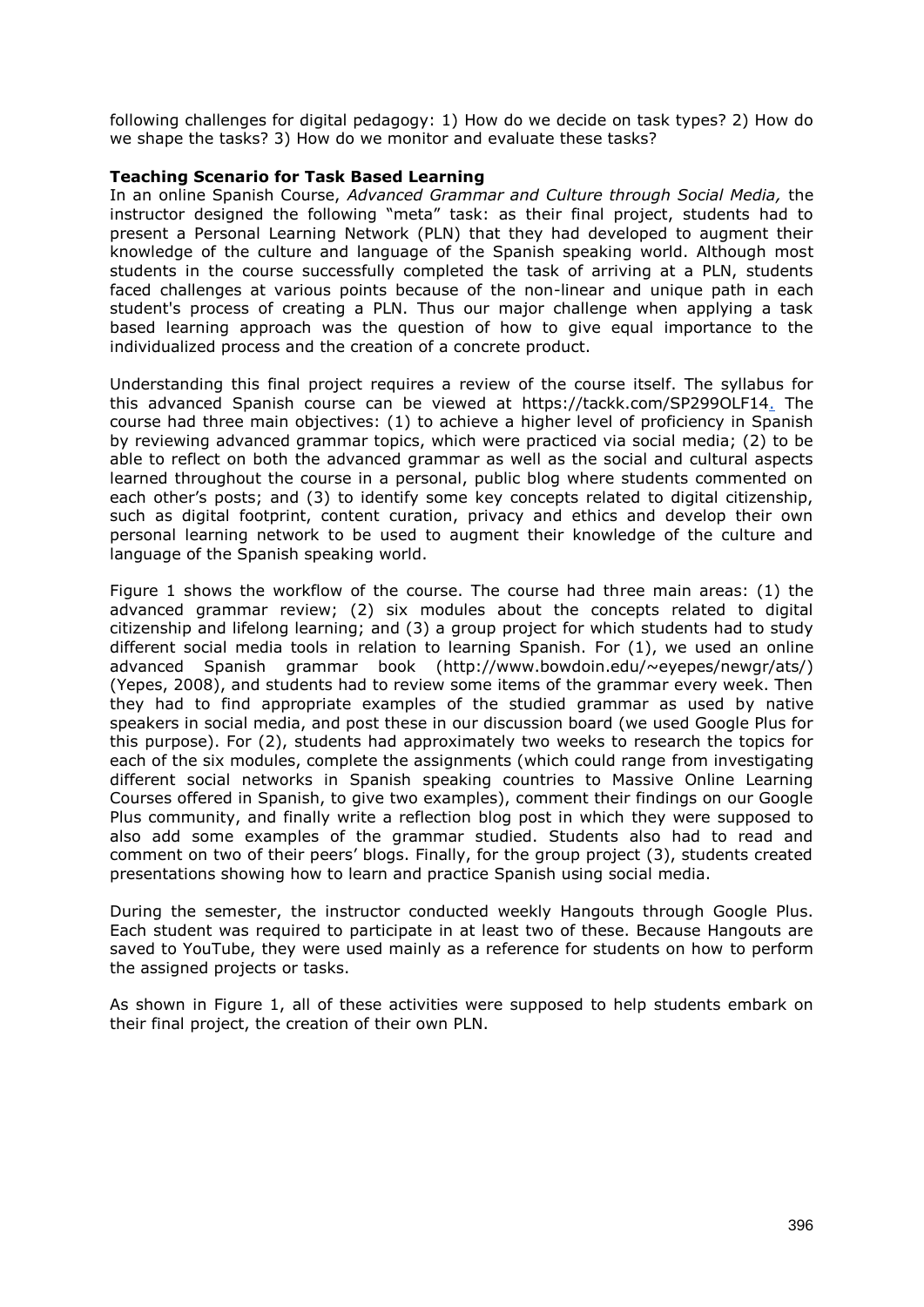following challenges for digital pedagogy: 1) How do we decide on task types? 2) How do we shape the tasks? 3) How do we monitor and evaluate these tasks?

#### **Teaching Scenario for Task Based Learning**

In an online Spanish Course, *Advanced Grammar and Culture through Social Media,* the instructor designed the following "meta" task: as their final project, students had to present a Personal Learning Network (PLN) that they had developed to augment their knowledge of the culture and language of the Spanish speaking world. Although most students in the course successfully completed the task of arriving at a PLN, students faced challenges at various points because of the non-linear and unique path in each student's process of creating a PLN. Thus our major challenge when applying a task based learning approach was the question of how to give equal importance to the individualized process and the creation of a concrete product.

Understanding this final project requires a review of the course itself. The syllabus for this advanced Spanish course can be viewed at https://tackk.com/SP299OLF14. The course had three main objectives: (1) to achieve a higher level of proficiency in Spanish by reviewing advanced grammar topics, which were practiced via social media; (2) to be able to reflect on both the advanced grammar as well as the social and cultural aspects learned throughout the course in a personal, public blog where students commented on each other's posts; and (3) to identify some key concepts related to digital citizenship, such as digital footprint, content curation, privacy and ethics and develop their own personal learning network to be used to augment their knowledge of the culture and language of the Spanish speaking world.

Figure 1 shows the workflow of the course. The course had three main areas: (1) the advanced grammar review; (2) six modules about the concepts related to digital citizenship and lifelong learning; and (3) a group project for which students had to study different social media tools in relation to learning Spanish. For (1), we used an online advanced Spanish grammar book (http://www.bowdoin.edu/~eyepes/newgr/ats/) (Yepes, 2008), and students had to review some items of the grammar every week. Then they had to find appropriate examples of the studied grammar as used by native speakers in social media, and post these in our discussion board (we used Google Plus for this purpose). For (2), students had approximately two weeks to research the topics for each of the six modules, complete the assignments (which could range from investigating different social networks in Spanish speaking countries to Massive Online Learning Courses offered in Spanish, to give two examples), comment their findings on our Google Plus community, and finally write a reflection blog post in which they were supposed to also add some examples of the grammar studied. Students also had to read and comment on two of their peers' blogs. Finally, for the group project (3), students created presentations showing how to learn and practice Spanish using social media.

During the semester, the instructor conducted weekly Hangouts through Google Plus. Each student was required to participate in at least two of these. Because Hangouts are saved to YouTube, they were used mainly as a reference for students on how to perform the assigned projects or tasks.

As shown in Figure 1, all of these activities were supposed to help students embark on their final project, the creation of their own PLN.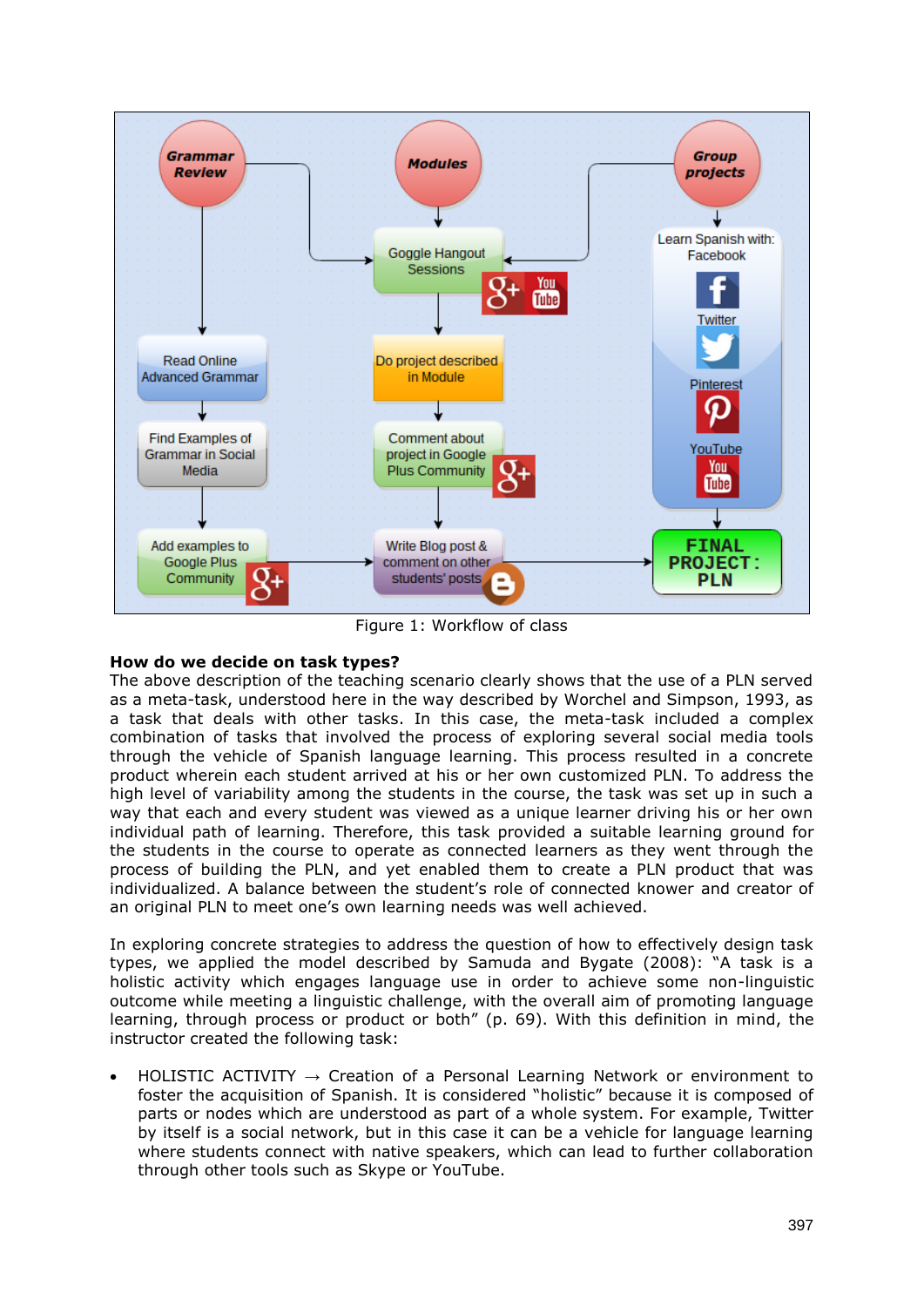

Figure 1: Workflow of class

### **How do we decide on task types?**

The above description of the teaching scenario clearly shows that the use of a PLN served as a meta-task, understood here in the way described by Worchel and Simpson, 1993, as a task that deals with other tasks. In this case, the meta-task included a complex combination of tasks that involved the process of exploring several social media tools through the vehicle of Spanish language learning. This process resulted in a concrete product wherein each student arrived at his or her own customized PLN. To address the high level of variability among the students in the course, the task was set up in such a way that each and every student was viewed as a unique learner driving his or her own individual path of learning. Therefore, this task provided a suitable learning ground for the students in the course to operate as connected learners as they went through the process of building the PLN, and yet enabled them to create a PLN product that was individualized. A balance between the student's role of connected knower and creator of an original PLN to meet one's own learning needs was well achieved.

In exploring concrete strategies to address the question of how to effectively design task types, we applied the model described by Samuda and Bygate (2008): "A task is a holistic activity which engages language use in order to achieve some non-linguistic outcome while meeting a linguistic challenge, with the overall aim of promoting language learning, through process or product or both" (p. 69). With this definition in mind, the instructor created the following task:

HOLISTIC ACTIVITY  $\rightarrow$  Creation of a Personal Learning Network or environment to foster the acquisition of Spanish. It is considered "holistic" because it is composed of parts or nodes which are understood as part of a whole system. For example, Twitter by itself is a social network, but in this case it can be a vehicle for language learning where students connect with native speakers, which can lead to further collaboration through other tools such as Skype or YouTube.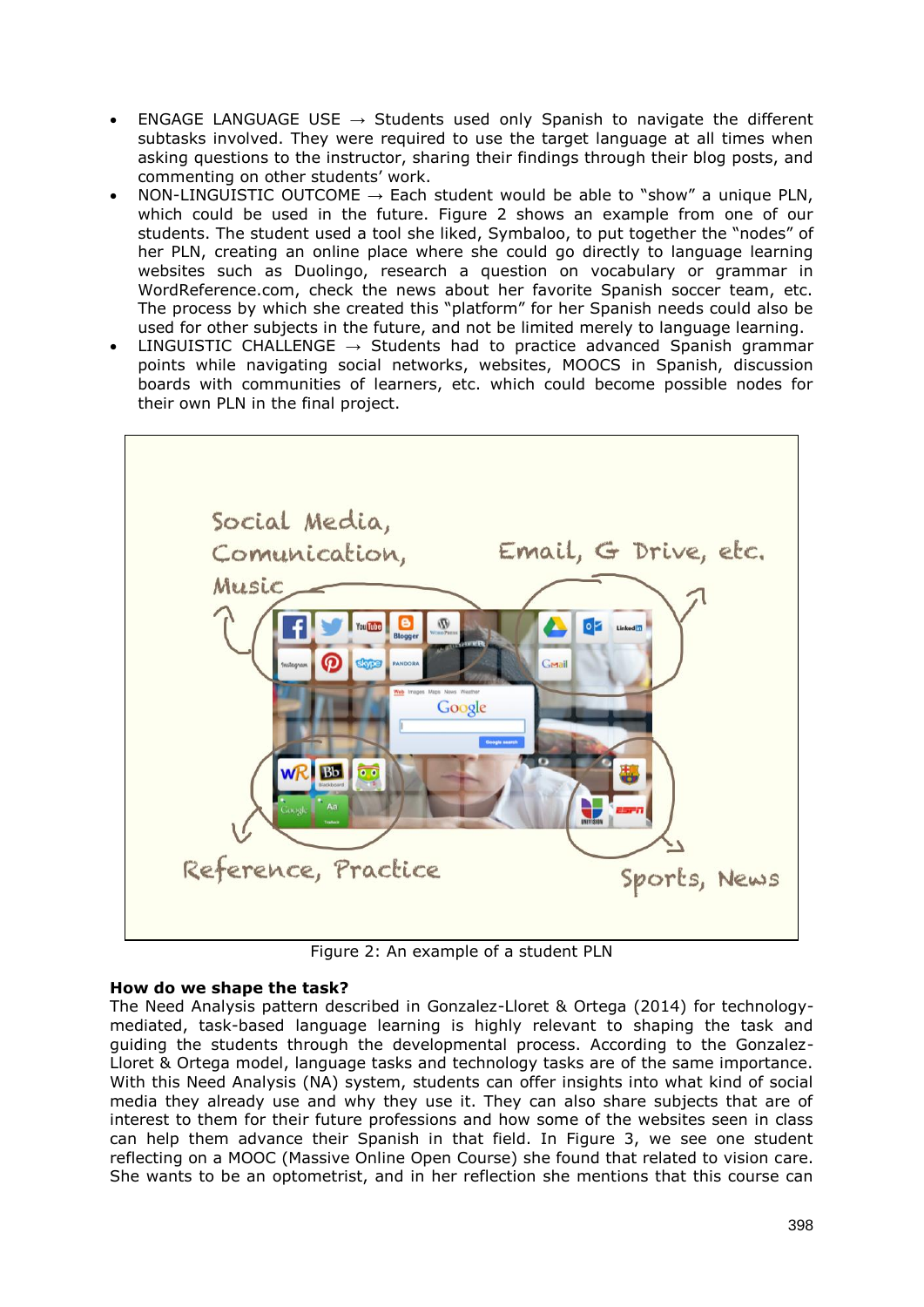- ENGAGE LANGUAGE USE  $\rightarrow$  Students used only Spanish to navigate the different subtasks involved. They were required to use the target language at all times when asking questions to the instructor, sharing their findings through their blog posts, and commenting on other students' work.
- NON-LINGUISTIC OUTCOME  $\rightarrow$  Each student would be able to "show" a unique PLN, which could be used in the future. Figure 2 shows an example from one of our students. The student used a tool she liked, Symbaloo, to put together the "nodes" of her PLN, creating an online place where she could go directly to language learning websites such as Duolingo, research a question on vocabulary or grammar in WordReference.com, check the news about her favorite Spanish soccer team, etc. The process by which she created this "platform" for her Spanish needs could also be used for other subjects in the future, and not be limited merely to language learning.
- LINGUISTIC CHALLENGE  $\rightarrow$  Students had to practice advanced Spanish grammar points while navigating social networks, websites, MOOCS in Spanish, discussion boards with communities of learners, etc. which could become possible nodes for their own PLN in the final project.



Figure 2: An example of a student PLN

### **How do we shape the task?**

The Need Analysis pattern described in Gonzalez-Lloret & Ortega (2014) for technologymediated, task-based language learning is highly relevant to shaping the task and guiding the students through the developmental process. According to the Gonzalez-Lloret & Ortega model, language tasks and technology tasks are of the same importance. With this Need Analysis (NA) system, students can offer insights into what kind of social media they already use and why they use it. They can also share subjects that are of interest to them for their future professions and how some of the websites seen in class can help them advance their Spanish in that field. In Figure 3, we see one student reflecting on a MOOC (Massive Online Open Course) she found that related to vision care. She wants to be an optometrist, and in her reflection she mentions that this course can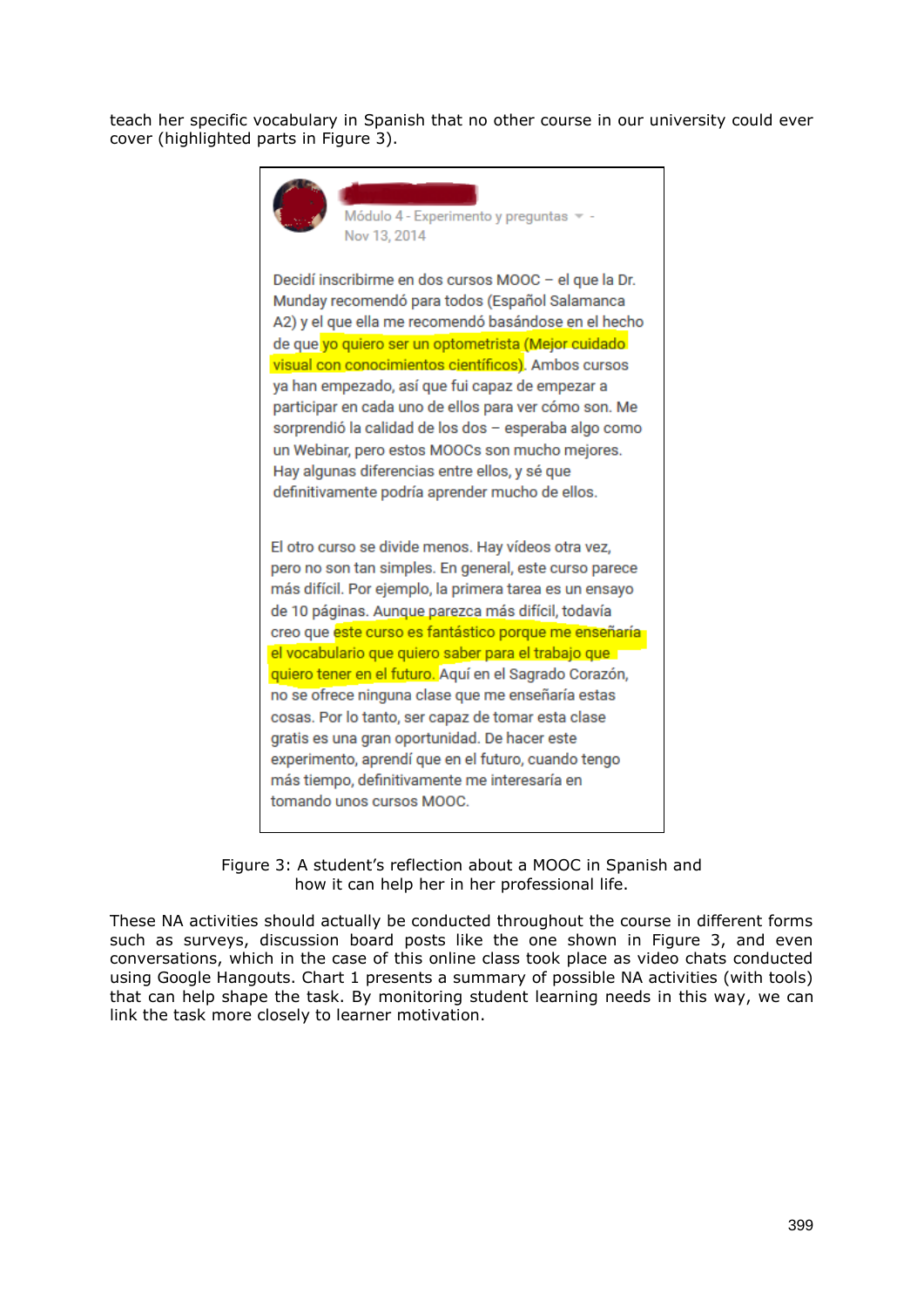teach her specific vocabulary in Spanish that no other course in our university could ever cover (highlighted parts in Figure 3).



de 10 páginas. Aunque parezca más difícil, todavía creo que este curso es fantástico porque me enseñaría el vocabulario que quiero saber para el trabajo que quiero tener en el futuro. Aquí en el Sagrado Corazón, no se ofrece ninguna clase que me enseñaría estas cosas. Por lo tanto, ser capaz de tomar esta clase gratis es una gran oportunidad. De hacer este experimento, aprendí que en el futuro, cuando tengo más tiempo, definitivamente me interesaría en tomando unos cursos MOOC.

Figure 3: A student's reflection about a MOOC in Spanish and how it can help her in her professional life.

These NA activities should actually be conducted throughout the course in different forms such as surveys, discussion board posts like the one shown in Figure 3, and even conversations, which in the case of this online class took place as video chats conducted using Google Hangouts. Chart 1 presents a summary of possible NA activities (with tools) that can help shape the task. By monitoring student learning needs in this way, we can link the task more closely to learner motivation.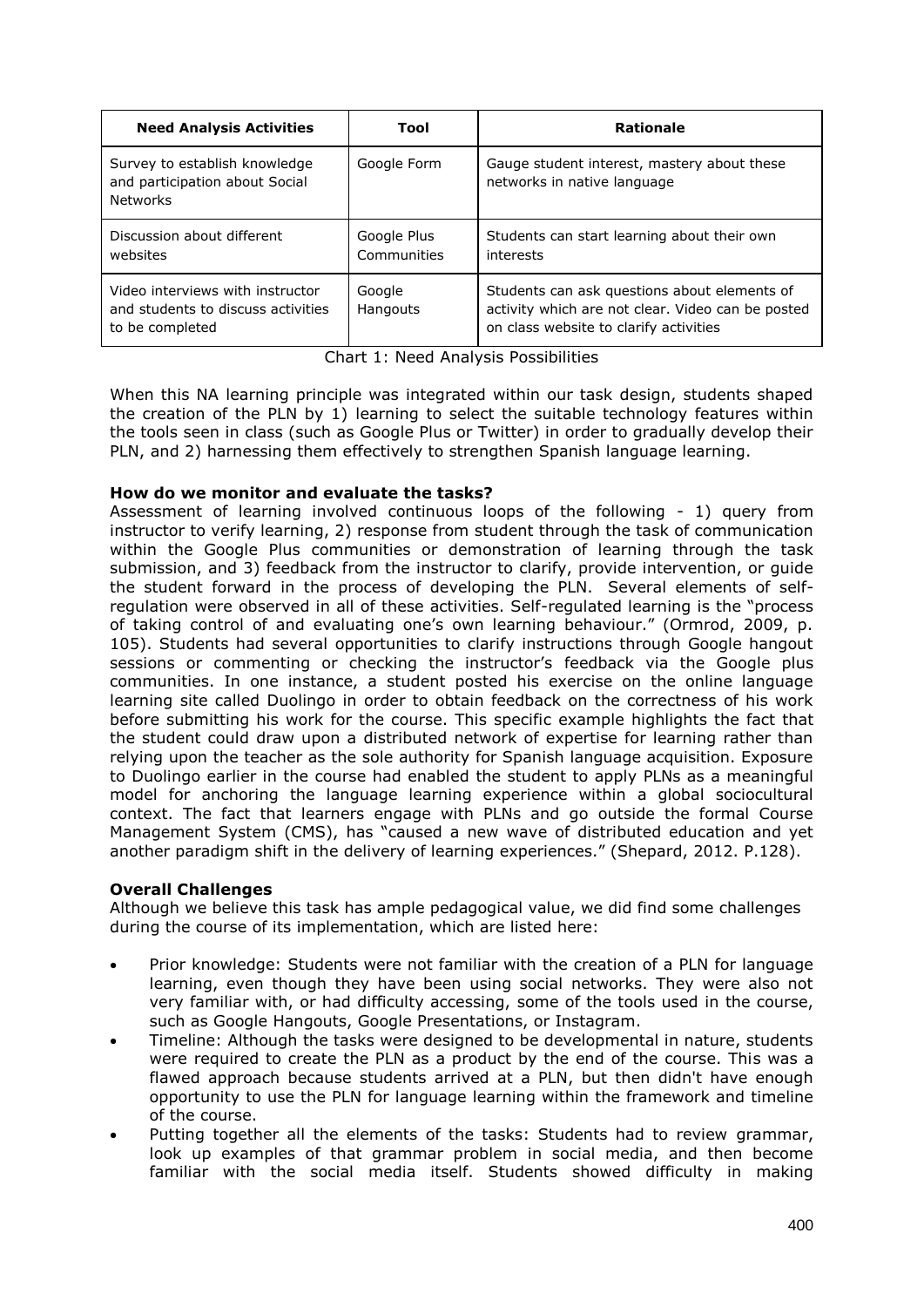| <b>Need Analysis Activities</b>                                                           | Tool                       | <b>Rationale</b>                                                                                                                            |
|-------------------------------------------------------------------------------------------|----------------------------|---------------------------------------------------------------------------------------------------------------------------------------------|
| Survey to establish knowledge<br>and participation about Social<br><b>Networks</b>        | Google Form                | Gauge student interest, mastery about these<br>networks in native language                                                                  |
| Discussion about different<br>websites                                                    | Google Plus<br>Communities | Students can start learning about their own<br>interests                                                                                    |
| Video interviews with instructor<br>and students to discuss activities<br>to be completed | Google<br>Hangouts         | Students can ask questions about elements of<br>activity which are not clear. Video can be posted<br>on class website to clarify activities |

Chart 1: Need Analysis Possibilities

When this NA learning principle was integrated within our task design, students shaped the creation of the PLN by 1) learning to select the suitable technology features within the tools seen in class (such as Google Plus or Twitter) in order to gradually develop their PLN, and 2) harnessing them effectively to strengthen Spanish language learning.

### **How do we monitor and evaluate the tasks?**

Assessment of learning involved continuous loops of the following - 1) query from instructor to verify learning, 2) response from student through the task of communication within the Google Plus communities or demonstration of learning through the task submission, and 3) feedback from the instructor to clarify, provide intervention, or guide the student forward in the process of developing the PLN. Several elements of selfregulation were observed in all of these activities. Self-regulated learning is the "process of taking control of and evaluating one's own learning behaviour." (Ormrod, 2009, p. 105). Students had several opportunities to clarify instructions through Google hangout sessions or commenting or checking the instructor's feedback via the Google plus communities. In one instance, a student posted his exercise on the online language learning site called Duolingo in order to obtain feedback on the correctness of his work before submitting his work for the course. This specific example highlights the fact that the student could draw upon a distributed network of expertise for learning rather than relying upon the teacher as the sole authority for Spanish language acquisition. Exposure to Duolingo earlier in the course had enabled the student to apply PLNs as a meaningful model for anchoring the language learning experience within a global sociocultural context. The fact that learners engage with PLNs and go outside the formal Course Management System (CMS), has "caused a new wave of distributed education and yet another paradigm shift in the delivery of learning experiences." (Shepard, 2012. P.128).

### **Overall Challenges**

Although we believe this task has ample pedagogical value, we did find some challenges during the course of its implementation, which are listed here:

- Prior knowledge: Students were not familiar with the creation of a PLN for language learning, even though they have been using social networks. They were also not very familiar with, or had difficulty accessing, some of the tools used in the course, such as Google Hangouts, Google Presentations, or Instagram.
- Timeline: Although the tasks were designed to be developmental in nature, students were required to create the PLN as a product by the end of the course. This was a flawed approach because students arrived at a PLN, but then didn't have enough opportunity to use the PLN for language learning within the framework and timeline of the course.
- Putting together all the elements of the tasks: Students had to review grammar, look up examples of that grammar problem in social media, and then become familiar with the social media itself. Students showed difficulty in making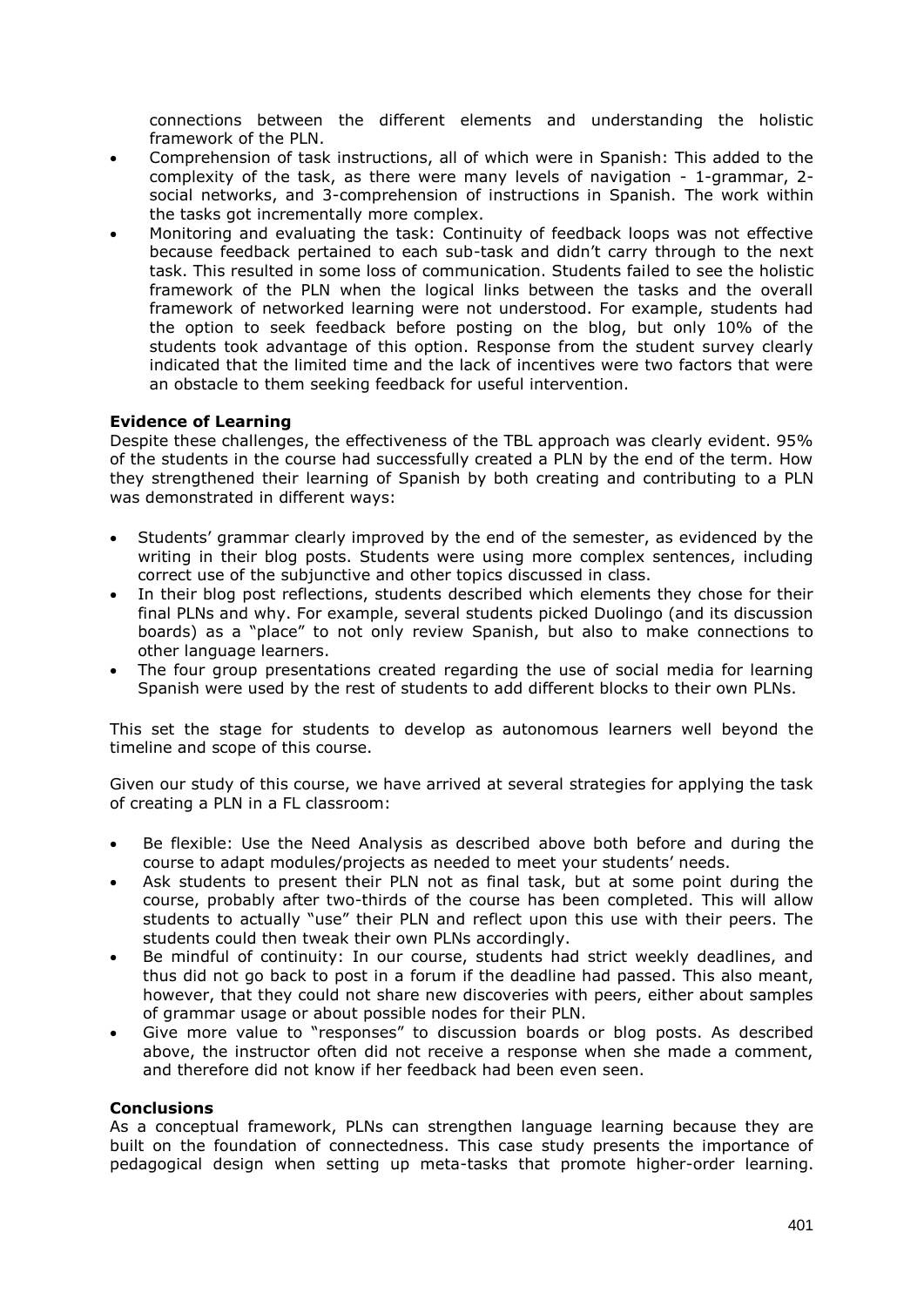connections between the different elements and understanding the holistic framework of the PLN.

- Comprehension of task instructions, all of which were in Spanish: This added to the complexity of the task, as there were many levels of navigation - 1-grammar, 2 social networks, and 3-comprehension of instructions in Spanish. The work within the tasks got incrementally more complex.
- Monitoring and evaluating the task: Continuity of feedback loops was not effective because feedback pertained to each sub-task and didn't carry through to the next task. This resulted in some loss of communication. Students failed to see the holistic framework of the PLN when the logical links between the tasks and the overall framework of networked learning were not understood. For example, students had the option to seek feedback before posting on the blog, but only 10% of the students took advantage of this option. Response from the student survey clearly indicated that the limited time and the lack of incentives were two factors that were an obstacle to them seeking feedback for useful intervention.

### **Evidence of Learning**

Despite these challenges, the effectiveness of the TBL approach was clearly evident. 95% of the students in the course had successfully created a PLN by the end of the term. How they strengthened their learning of Spanish by both creating and contributing to a PLN was demonstrated in different ways:

- Students' grammar clearly improved by the end of the semester, as evidenced by the writing in their blog posts. Students were using more complex sentences, including correct use of the subjunctive and other topics discussed in class.
- In their blog post reflections, students described which elements they chose for their final PLNs and why. For example, several students picked Duolingo (and its discussion boards) as a "place" to not only review Spanish, but also to make connections to other language learners.
- The four group presentations created regarding the use of social media for learning Spanish were used by the rest of students to add different blocks to their own PLNs.

This set the stage for students to develop as autonomous learners well beyond the timeline and scope of this course.

Given our study of this course, we have arrived at several strategies for applying the task of creating a PLN in a FL classroom:

- Be flexible: Use the Need Analysis as described above both before and during the course to adapt modules/projects as needed to meet your students' needs.
- Ask students to present their PLN not as final task, but at some point during the course, probably after two-thirds of the course has been completed. This will allow students to actually "use" their PLN and reflect upon this use with their peers. The students could then tweak their own PLNs accordingly.
- Be mindful of continuity: In our course, students had strict weekly deadlines, and thus did not go back to post in a forum if the deadline had passed. This also meant, however, that they could not share new discoveries with peers, either about samples of grammar usage or about possible nodes for their PLN.
- Give more value to "responses" to discussion boards or blog posts. As described above, the instructor often did not receive a response when she made a comment, and therefore did not know if her feedback had been even seen.

#### **Conclusions**

As a conceptual framework, PLNs can strengthen language learning because they are built on the foundation of connectedness. This case study presents the importance of pedagogical design when setting up meta-tasks that promote higher-order learning.